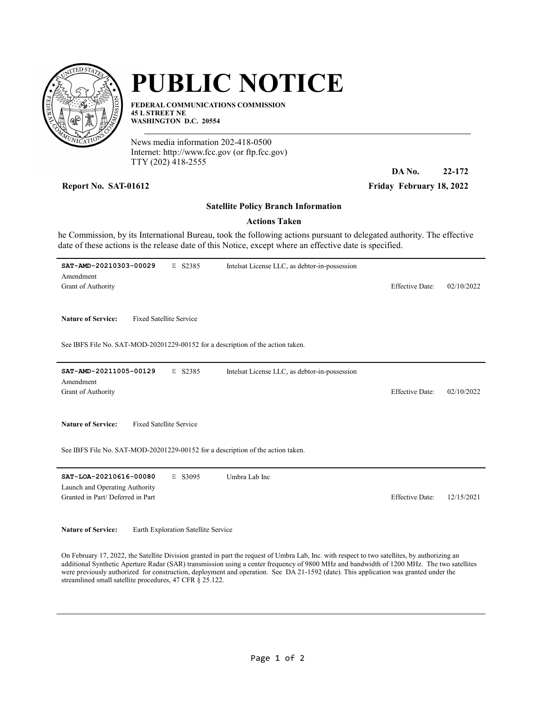

## PUBLIC NOTICE

FEDERAL COMMUNICATIONS COMMISSION 45 L STREET NE WASHINGTON D.C. 20554

News media information 202-418-0500 Internet: http://www.fcc.gov (or ftp.fcc.gov) TTY (202) 418-2555

DA No. 22-172

Report No. SAT-01612 Friday February 18, 2022

## Satellite Policy Branch Information

## Actions Taken

he Commission, by its International Bureau, took the following actions pursuant to delegated authority. The effective date of these actions is the release date of this Notice, except where an effective date is specified.

| SAT-AMD-20210303-00029<br>E S2385<br>Amendment<br>Grant of Authority                                                                          | Intelsat License LLC, as debtor-in-possession | <b>Effective Date:</b> | 02/10/2022 |
|-----------------------------------------------------------------------------------------------------------------------------------------------|-----------------------------------------------|------------------------|------------|
| <b>Fixed Satellite Service</b><br><b>Nature of Service:</b>                                                                                   |                                               |                        |            |
| See IBFS File No. SAT-MOD-20201229-00152 for a description of the action taken.                                                               |                                               |                        |            |
| E S2385<br>SAT-AMD-20211005-00129<br>Amendment                                                                                                | Intelsat License LLC, as debtor-in-possession |                        |            |
| Grant of Authority                                                                                                                            |                                               | <b>Effective Date:</b> | 02/10/2022 |
| <b>Nature of Service:</b><br><b>Fixed Satellite Service</b>                                                                                   |                                               |                        |            |
| See IBFS File No. SAT-MOD-20201229-00152 for a description of the action taken.                                                               |                                               |                        |            |
| SAT-LOA-20210616-00080<br>E S3095<br>Launch and Operating Authority<br>Granted in Part/ Deferred in Part                                      | Umbra Lab Inc                                 | <b>Effective Date:</b> | 12/15/2021 |
| <b>Nature of Service:</b><br>Earth Exploration Satellite Service                                                                              |                                               |                        |            |
| On February 17, 2022, the Satellite Division granted in part the request of Umbra Lab. Inc. with respect to two satellites, by authorizing an |                                               |                        |            |

On February 17, 2022, the Satellite Division granted in part the request of Umbra Lab, Inc. with respect to two satellites, by authorizing an additional Synthetic Aperture Radar (SAR) transmission using a center frequency of 9800 MHz and bandwidth of 1200 MHz. The two satellites were previously authorized for construction, deployment and operation. See DA 21-1592 (date). This application was granted under the streamlined small satellite procedures, 47 CFR § 25.122.